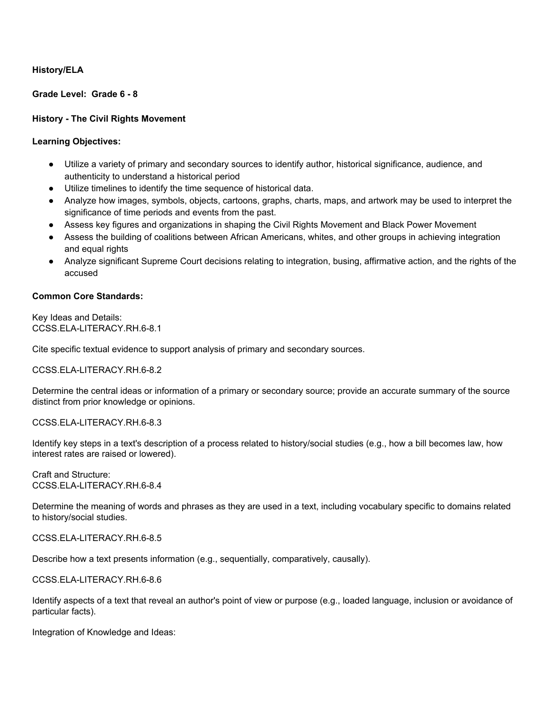### **History/ELA**

**Grade Level: Grade 6 - 8**

### **History - The Civil Rights Movement**

### **Learning Objectives:**

- Utilize a variety of primary and secondary sources to identify author, historical significance, audience, and authenticity to understand a historical period
- Utilize timelines to identify the time sequence of historical data.
- Analyze how images, symbols, objects, cartoons, graphs, charts, maps, and artwork may be used to interpret the significance of time periods and events from the past.
- Assess key figures and organizations in shaping the Civil Rights Movement and Black Power Movement
- Assess the building of coalitions between African Americans, whites, and other groups in achieving integration and equal rights
- Analyze significant Supreme Court decisions relating to integration, busing, affirmative action, and the rights of the accused

### **Common Core Standards:**

Key Ideas and Details: [CCSS.ELA-LITERACY.RH.6-8.1](http://www.corestandards.org/ELA-Literacy/RH/6-8/1/)

Cite specific textual evidence to support analysis of primary and secondary sources.

[CCSS.ELA-LITERACY.RH.6-8.2](http://www.corestandards.org/ELA-Literacy/RH/6-8/2/)

Determine the central ideas or information of a primary or secondary source; provide an accurate summary of the source distinct from prior knowledge or opinions.

#### [CCSS.ELA-LITERACY.RH.6-8.3](http://www.corestandards.org/ELA-Literacy/RH/6-8/3/)

Identify key steps in a text's description of a process related to history/social studies (e.g., how a bill becomes law, how interest rates are raised or lowered).

Craft and Structure: [CCSS.ELA-LITERACY.RH.6-8.4](http://www.corestandards.org/ELA-Literacy/RH/6-8/4/)

Determine the meaning of words and phrases as they are used in a text, including vocabulary specific to domains related to history/social studies.

[CCSS.ELA-LITERACY.RH.6-8.5](http://www.corestandards.org/ELA-Literacy/RH/6-8/5/)

Describe how a text presents information (e.g., sequentially, comparatively, causally).

[CCSS.ELA-LITERACY.RH.6-8.6](http://www.corestandards.org/ELA-Literacy/RH/6-8/6/)

Identify aspects of a text that reveal an author's point of view or purpose (e.g., loaded language, inclusion or avoidance of particular facts).

Integration of Knowledge and Ideas: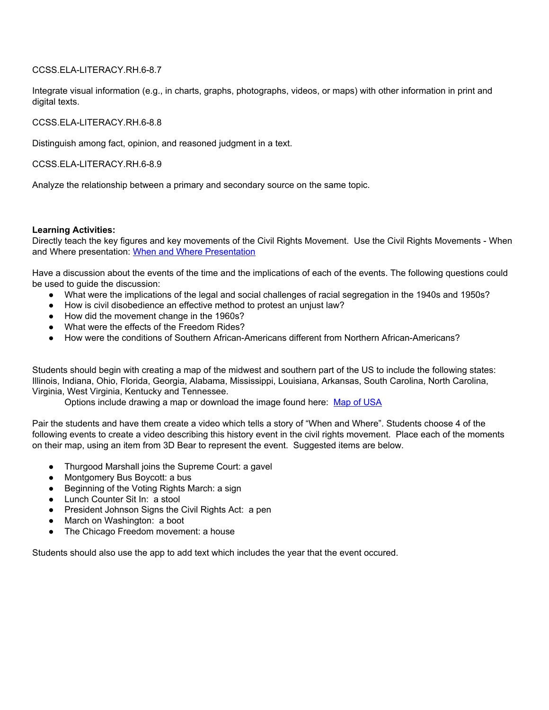### [CCSS.ELA-LITERACY.RH.6-8.7](http://www.corestandards.org/ELA-Literacy/RH/6-8/7/)

Integrate visual information (e.g., in charts, graphs, photographs, videos, or maps) with other information in print and digital texts.

[CCSS.ELA-LITERACY.RH.6-8.8](http://www.corestandards.org/ELA-Literacy/RH/6-8/8/)

Distinguish among fact, opinion, and reasoned judgment in a text.

[CCSS.ELA-LITERACY.RH.6-8.9](http://www.corestandards.org/ELA-Literacy/RH/6-8/9/)

Analyze the relationship between a primary and secondary source on the same topic.

#### **Learning Activities:**

Directly teach the key figures and key movements of the Civil Rights Movement. Use the Civil Rights Movements - When and Where presentation: When and Where [Presentation](https://drive.google.com/open?id=1tFnwXhEkGQ8tbXgmDlVN_IIDDreiK87stUyvnp_iZE4)

Have a discussion about the events of the time and the implications of each of the events. The following questions could be used to guide the discussion:

- What were the implications of the legal and social challenges of racial segregation in the 1940s and 1950s?
- How is civil disobedience an effective method to protest an unjust law?
- How did the movement change in the 1960s?
- What were the effects of the Freedom Rides?
- How were the conditions of Southern African-Americans different from Northern African-Americans?

Students should begin with creating a map of the midwest and southern part of the US to include the following states: Illinois, Indiana, Ohio, Florida, Georgia, Alabama, Mississippi, Louisiana, Arkansas, South Carolina, North Carolina, Virginia, West Virginia, Kentucky and Tennessee.

Options include drawing a map or download the image found here: Map of [USA](https://drive.google.com/open?id=1NbAE9tuzsOUARR88bl99hWxtL0vHnrag)

Pair the students and have them create a video which tells a story of "When and Where". Students choose 4 of the following events to create a video describing this history event in the civil rights movement. Place each of the moments on their map, using an item from 3D Bear to represent the event. Suggested items are below.

- Thurgood Marshall joins the Supreme Court: a gavel
- Montgomery Bus Boycott: a bus
- Beginning of the Voting Rights March: a sign
- Lunch Counter Sit In: a stool
- President Johnson Signs the Civil Rights Act: a pen
- March on Washington: a boot
- The Chicago Freedom movement: a house

Students should also use the app to add text which includes the year that the event occured.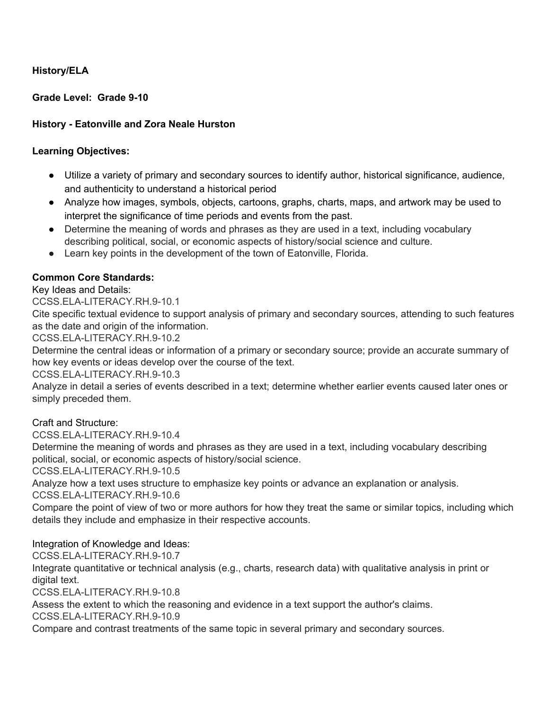# **History/ELA**

**Grade Level: Grade 9-10**

# **History - Eatonville and Zora Neale Hurston**

## **Learning Objectives:**

- Utilize a variety of primary and secondary sources to identify author, historical significance, audience, and authenticity to understand a historical period
- Analyze how images, symbols, objects, cartoons, graphs, charts, maps, and artwork may be used to interpret the significance of time periods and events from the past.
- Determine the meaning of words and phrases as they are used in a text, including vocabulary describing political, social, or economic aspects of history/social science and culture.
- Learn key points in the development of the town of Eatonville, Florida.

# **Common Core Standards:**

Key Ideas and Details:

[CCSS.ELA-LITERACY.RH.9-10.1](http://www.corestandards.org/ELA-Literacy/RH/9-10/1/)

Cite specific textual evidence to support analysis of primary and secondary sources, attending to such features as the date and origin of the information.

[CCSS.ELA-LITERACY.RH.9-10.2](http://www.corestandards.org/ELA-Literacy/RH/9-10/2/)

Determine the central ideas or information of a primary or secondary source; provide an accurate summary of how key events or ideas develop over the course of the text.

[CCSS.ELA-LITERACY.RH.9-10.3](http://www.corestandards.org/ELA-Literacy/RH/9-10/3/)

Analyze in detail a series of events described in a text; determine whether earlier events caused later ones or simply preceded them.

Craft and Structure:

[CCSS.ELA-LITERACY.RH.9-10.4](http://www.corestandards.org/ELA-Literacy/RH/9-10/4/)

Determine the meaning of words and phrases as they are used in a text, including vocabulary describing political, social, or economic aspects of history/social science.

[CCSS.ELA-LITERACY.RH.9-10.5](http://www.corestandards.org/ELA-Literacy/RH/9-10/5/)

Analyze how a text uses structure to emphasize key points or advance an explanation or analysis.

[CCSS.ELA-LITERACY.RH.9-10.6](http://www.corestandards.org/ELA-Literacy/RH/9-10/6/)

Compare the point of view of two or more authors for how they treat the same or similar topics, including which details they include and emphasize in their respective accounts.

## Integration of Knowledge and Ideas:

[CCSS.ELA-LITERACY.RH.9-10.7](http://www.corestandards.org/ELA-Literacy/RH/9-10/7/)

Integrate quantitative or technical analysis (e.g., charts, research data) with qualitative analysis in print or digital text.

[CCSS.ELA-LITERACY.RH.9-10.8](http://www.corestandards.org/ELA-Literacy/RH/9-10/8/)

Assess the extent to which the reasoning and evidence in a text support the author's claims.

[CCSS.ELA-LITERACY.RH.9-10.9](http://www.corestandards.org/ELA-Literacy/RH/9-10/9/)

Compare and contrast treatments of the same topic in several primary and secondary sources.